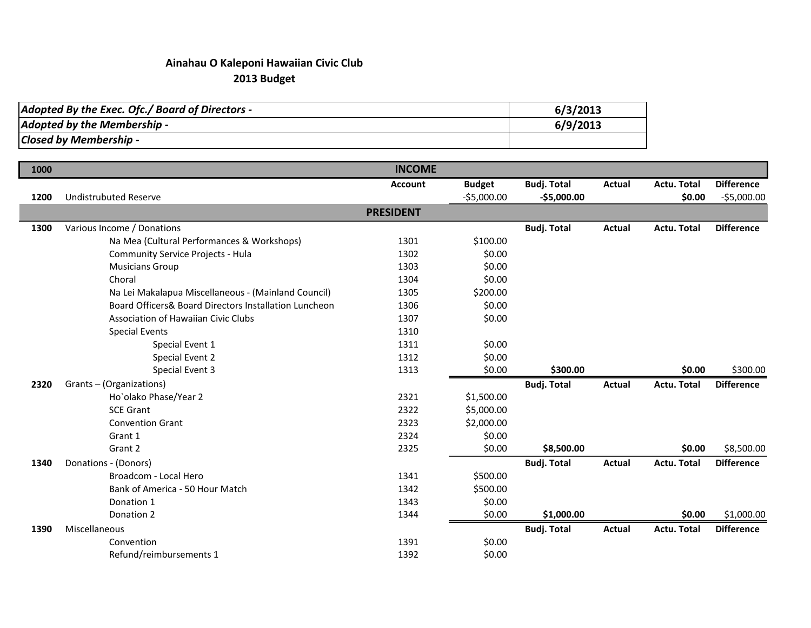## **Ainahau O Kaleponi Hawaiian Civic Club 2013 Budget**

| Adopted By the Exec. Ofc./ Board of Directors - | 6/3/2013 |
|-------------------------------------------------|----------|
| Adopted by the Membership -                     | 6/9/2013 |
| Closed by Membership -                          |          |

| 1000 |                                                       | <b>INCOME</b>    |               |                    |               |                    |                   |
|------|-------------------------------------------------------|------------------|---------------|--------------------|---------------|--------------------|-------------------|
|      |                                                       | <b>Account</b>   | <b>Budget</b> | <b>Budj. Total</b> | <b>Actual</b> | Actu. Total        | <b>Difference</b> |
| 1200 | <b>Undistrubuted Reserve</b>                          |                  | $-55,000.00$  | $-$5,000.00$       |               | \$0.00             | $-$5,000.00$      |
|      |                                                       | <b>PRESIDENT</b> |               |                    |               |                    |                   |
| 1300 | Various Income / Donations                            |                  |               | <b>Budj. Total</b> | <b>Actual</b> | <b>Actu. Total</b> | <b>Difference</b> |
|      | Na Mea (Cultural Performances & Workshops)            | 1301             | \$100.00      |                    |               |                    |                   |
|      | Community Service Projects - Hula                     | 1302             | \$0.00        |                    |               |                    |                   |
|      | <b>Musicians Group</b>                                | 1303             | \$0.00        |                    |               |                    |                   |
|      | Choral                                                | 1304             | \$0.00        |                    |               |                    |                   |
|      | Na Lei Makalapua Miscellaneous - (Mainland Council)   | 1305             | \$200.00      |                    |               |                    |                   |
|      | Board Officers& Board Directors Installation Luncheon | 1306             | \$0.00        |                    |               |                    |                   |
|      | Association of Hawaiian Civic Clubs                   | 1307             | \$0.00        |                    |               |                    |                   |
|      | <b>Special Events</b>                                 | 1310             |               |                    |               |                    |                   |
|      | Special Event 1                                       | 1311             | \$0.00        |                    |               |                    |                   |
|      | Special Event 2                                       | 1312             | \$0.00        |                    |               |                    |                   |
|      | Special Event 3                                       | 1313             | \$0.00        | \$300.00           |               | \$0.00             | \$300.00          |
| 2320 | Grants-(Organizations)                                |                  |               | <b>Budj. Total</b> | <b>Actual</b> | <b>Actu. Total</b> | <b>Difference</b> |
|      | Ho`olako Phase/Year 2                                 | 2321             | \$1,500.00    |                    |               |                    |                   |
|      | <b>SCE Grant</b>                                      | 2322             | \$5,000.00    |                    |               |                    |                   |
|      | <b>Convention Grant</b>                               | 2323             | \$2,000.00    |                    |               |                    |                   |
|      | Grant 1                                               | 2324             | \$0.00        |                    |               |                    |                   |
|      | Grant 2                                               | 2325             | \$0.00        | \$8,500.00         |               | \$0.00             | \$8,500.00        |
| 1340 | Donations - (Donors)                                  |                  |               | <b>Budj. Total</b> | Actual        | Actu. Total        | <b>Difference</b> |
|      | Broadcom - Local Hero                                 | 1341             | \$500.00      |                    |               |                    |                   |
|      | Bank of America - 50 Hour Match                       | 1342             | \$500.00      |                    |               |                    |                   |
|      | Donation 1                                            | 1343             | \$0.00        |                    |               |                    |                   |
|      | Donation 2                                            | 1344             | \$0.00        | \$1,000.00         |               | \$0.00             | \$1,000.00        |
| 1390 | Miscellaneous                                         |                  |               | <b>Budj. Total</b> | Actual        | <b>Actu. Total</b> | <b>Difference</b> |
|      | Convention                                            | 1391             | \$0.00        |                    |               |                    |                   |
|      | Refund/reimbursements 1                               | 1392             | \$0.00        |                    |               |                    |                   |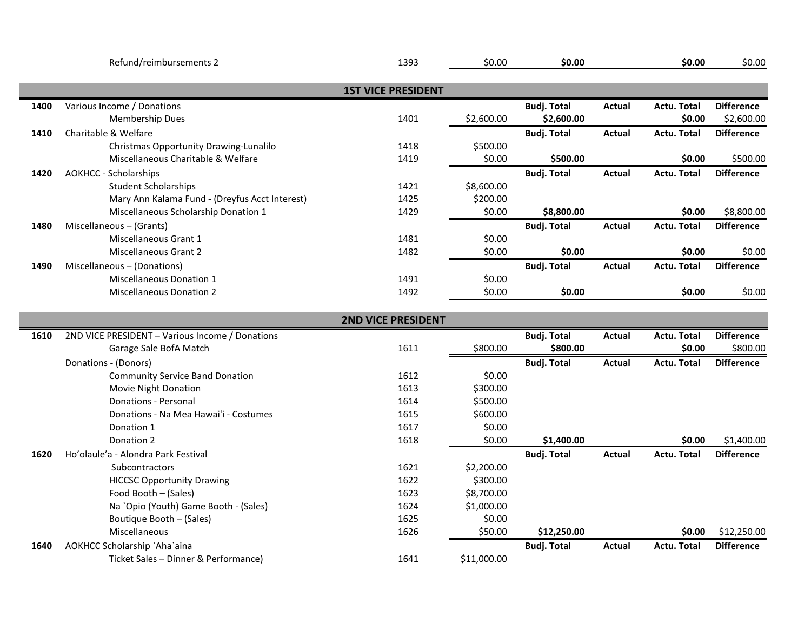|      | Refund/reimbursements 2                              | 1393                      | \$0.00     | \$0.00                           |               | \$0.00                       | \$0.00                          |
|------|------------------------------------------------------|---------------------------|------------|----------------------------------|---------------|------------------------------|---------------------------------|
|      |                                                      | <b>1ST VICE PRESIDENT</b> |            |                                  |               |                              |                                 |
| 1400 | Various Income / Donations<br><b>Membership Dues</b> | 1401                      | \$2,600.00 | <b>Budj. Total</b><br>\$2,600.00 | <b>Actual</b> | <b>Actu. Total</b><br>\$0.00 | <b>Difference</b><br>\$2,600.00 |
| 1410 | Charitable & Welfare                                 |                           |            | <b>Budj. Total</b>               | Actual        | <b>Actu. Total</b>           | <b>Difference</b>               |
|      | Christmas Opportunity Drawing-Lunalilo               | 1418                      | \$500.00   |                                  |               |                              |                                 |
|      | Miscellaneous Charitable & Welfare                   | 1419                      | \$0.00     | \$500.00                         |               | \$0.00                       | \$500.00                        |
| 1420 | <b>AOKHCC - Scholarships</b>                         |                           |            | <b>Budj. Total</b>               | <b>Actual</b> | <b>Actu. Total</b>           | <b>Difference</b>               |
|      | <b>Student Scholarships</b>                          | 1421                      | \$8,600.00 |                                  |               |                              |                                 |
|      | Mary Ann Kalama Fund - (Dreyfus Acct Interest)       | 1425                      | \$200.00   |                                  |               |                              |                                 |
|      | Miscellaneous Scholarship Donation 1                 | 1429                      | \$0.00     | \$8,800.00                       |               | \$0.00                       | \$8,800.00                      |
| 1480 | Miscellaneous - (Grants)                             |                           |            | <b>Budj. Total</b>               | <b>Actual</b> | <b>Actu. Total</b>           | <b>Difference</b>               |
|      | Miscellaneous Grant 1                                | 1481                      | \$0.00     |                                  |               |                              |                                 |
|      | Miscellaneous Grant 2                                | 1482                      | \$0.00     | \$0.00                           |               | \$0.00                       | \$0.00                          |
| 1490 | Miscellaneous - (Donations)                          |                           |            | <b>Budj. Total</b>               | <b>Actual</b> | <b>Actu. Total</b>           | <b>Difference</b>               |
|      | <b>Miscellaneous Donation 1</b>                      | 1491                      | \$0.00     |                                  |               |                              |                                 |
|      | <b>Miscellaneous Donation 2</b>                      | 1492                      | \$0.00     | \$0.00                           |               | \$0.00                       | \$0.00                          |
|      |                                                      | <b>2ND VICE PRESIDENT</b> |            |                                  |               |                              |                                 |
|      |                                                      |                           |            |                                  |               |                              |                                 |
| 1610 | 2ND VICE PRESIDENT - Various Income / Donations      |                           |            | <b>Budj. Total</b>               | <b>Actual</b> | <b>Actu. Total</b>           | <b>Difference</b>               |
|      | Garage Sale BofA Match                               | 1611                      | \$800.00   | \$800.00                         |               | \$0.00                       | \$800.00                        |
|      | Donations - (Donors)                                 |                           |            | <b>Budj. Total</b>               | <b>Actual</b> | <b>Actu. Total</b>           | <b>Difference</b>               |
|      | <b>Community Service Band Donation</b>               | 1612                      | \$0.00     |                                  |               |                              |                                 |
|      | Movie Night Donation                                 | 1613                      | \$300.00   |                                  |               |                              |                                 |
|      | <b>Donations - Personal</b>                          | 1614                      | \$500.00   |                                  |               |                              |                                 |
|      | Donations - Na Mea Hawai'i - Costumes                | 1615                      | \$600.00   |                                  |               |                              |                                 |
|      | Donation 1                                           | 1617                      | \$0.00     |                                  |               |                              |                                 |
|      | Donation 2                                           | 1618                      | \$0.00     | \$1,400.00                       |               | \$0.00                       | \$1,400.00                      |
| 1620 | Ho'olaule'a - Alondra Park Festival                  |                           |            | <b>Budj. Total</b>               | Actual        | <b>Actu. Total</b>           | <b>Difference</b>               |
|      | <b>Subcontractors</b>                                | 1621                      | \$2,200.00 |                                  |               |                              |                                 |

Miscellaneous **50.00** \$12,250.00 **\$12,250.00** \$12,250.00 \$12,250.00

**1640** AOKHCC Scholarship `Aha`aina **Budj. Total Actual Actu. Total Difference**

HICCSC Opportunity Drawing The Contract of the CSC Opportunity Drawing The Contract of the CSC Opportunity Drawing Food Booth – (Sales) 1623 \$8,700.00 Na `Opio (Youth) Game Booth - (Sales) 1624 \$1,000.00 Boutique Booth – (Sales) 1625 \$0.00

Ticket Sales – Dinner & Performance) 1641 \$11,000.00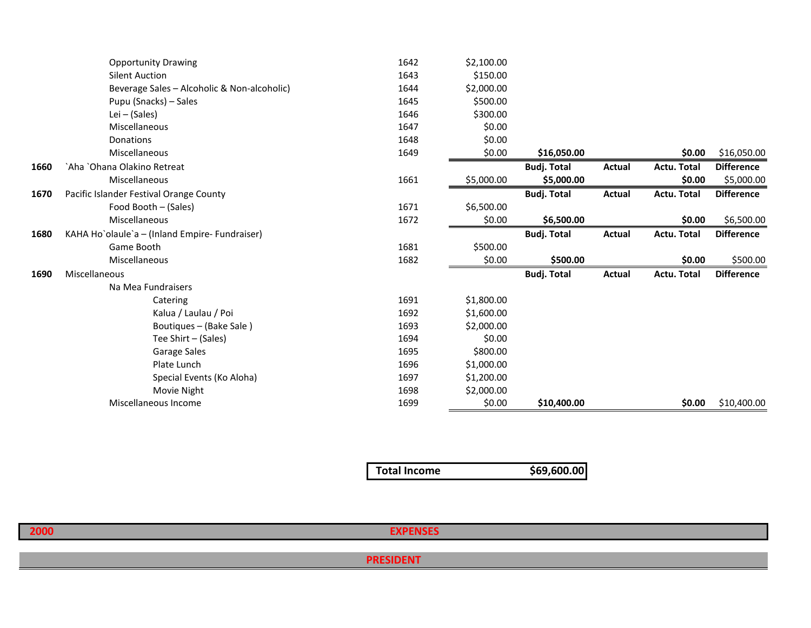|      | <b>Opportunity Drawing</b>                     | 1642 | \$2,100.00 |                    |        |                    |                   |
|------|------------------------------------------------|------|------------|--------------------|--------|--------------------|-------------------|
|      | <b>Silent Auction</b>                          | 1643 | \$150.00   |                    |        |                    |                   |
|      | Beverage Sales - Alcoholic & Non-alcoholic)    | 1644 | \$2,000.00 |                    |        |                    |                   |
|      | Pupu (Snacks) – Sales                          | 1645 | \$500.00   |                    |        |                    |                   |
|      | Lei - (Sales)                                  | 1646 | \$300.00   |                    |        |                    |                   |
|      | Miscellaneous                                  | 1647 | \$0.00     |                    |        |                    |                   |
|      | Donations                                      | 1648 | \$0.00     |                    |        |                    |                   |
|      | Miscellaneous                                  | 1649 | \$0.00     | \$16,050.00        |        | \$0.00             | \$16,050.00       |
| 1660 | `Aha `Ohana Olakino Retreat                    |      |            | <b>Budj. Total</b> | Actual | <b>Actu. Total</b> | <b>Difference</b> |
|      | Miscellaneous                                  | 1661 | \$5,000.00 | \$5,000.00         |        | \$0.00             | \$5,000.00        |
| 1670 | Pacific Islander Festival Orange County        |      |            | <b>Budj. Total</b> | Actual | <b>Actu. Total</b> | <b>Difference</b> |
|      | Food Booth - (Sales)                           | 1671 | \$6,500.00 |                    |        |                    |                   |
|      | Miscellaneous                                  | 1672 | \$0.00     | \$6,500.00         |        | \$0.00             | \$6,500.00        |
| 1680 | KAHA Ho`olaule`a - (Inland Empire- Fundraiser) |      |            | <b>Budj. Total</b> | Actual | <b>Actu. Total</b> | <b>Difference</b> |
|      | Game Booth                                     | 1681 | \$500.00   |                    |        |                    |                   |
|      | Miscellaneous                                  | 1682 | \$0.00     | \$500.00           |        | \$0.00             | \$500.00          |
| 1690 | Miscellaneous                                  |      |            | <b>Budj. Total</b> | Actual | <b>Actu. Total</b> | <b>Difference</b> |
|      | Na Mea Fundraisers                             |      |            |                    |        |                    |                   |
|      | Catering                                       | 1691 | \$1,800.00 |                    |        |                    |                   |
|      | Kalua / Laulau / Poi                           | 1692 | \$1,600.00 |                    |        |                    |                   |
|      | Boutiques – (Bake Sale)                        | 1693 | \$2,000.00 |                    |        |                    |                   |
|      | Tee Shirt – (Sales)                            | 1694 | \$0.00     |                    |        |                    |                   |
|      | Garage Sales                                   | 1695 | \$800.00   |                    |        |                    |                   |
|      | Plate Lunch                                    | 1696 | \$1,000.00 |                    |        |                    |                   |
|      | Special Events (Ko Aloha)                      | 1697 | \$1,200.00 |                    |        |                    |                   |
|      | Movie Night                                    | 1698 | \$2,000.00 |                    |        |                    |                   |
|      | Miscellaneous Income                           | 1699 | \$0.00     | \$10,400.00        |        | \$0.00             | \$10,400.00       |

| \$69,600.00 |
|-------------|
|             |

| 2000 | <b>PURPLICES</b> |  |
|------|------------------|--|
|      |                  |  |
|      | .<br>---         |  |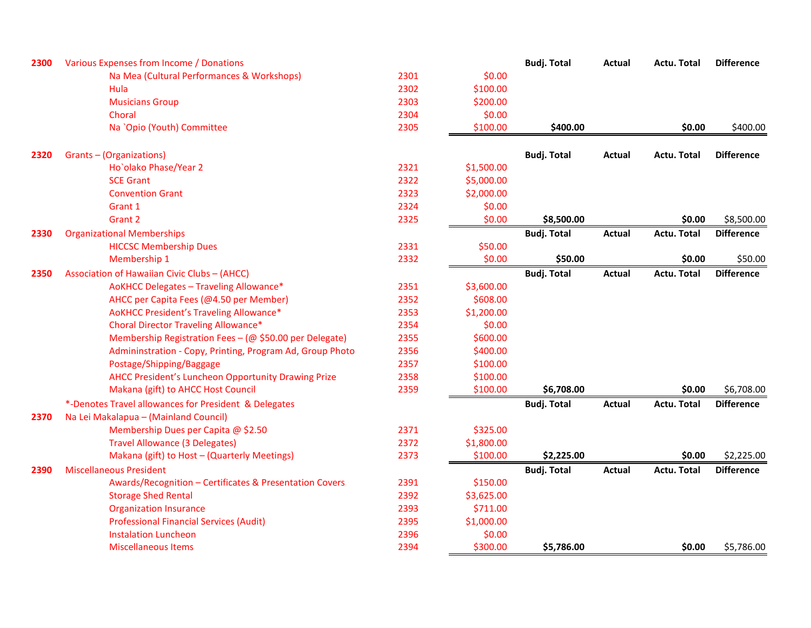| 2300 | Various Expenses from Income / Donations                  |      |            | <b>Budj. Total</b> | Actual        | <b>Actu. Total</b> | <b>Difference</b> |
|------|-----------------------------------------------------------|------|------------|--------------------|---------------|--------------------|-------------------|
|      | Na Mea (Cultural Performances & Workshops)                | 2301 | \$0.00     |                    |               |                    |                   |
|      | Hula                                                      | 2302 | \$100.00   |                    |               |                    |                   |
|      | <b>Musicians Group</b>                                    | 2303 | \$200.00   |                    |               |                    |                   |
|      | Choral                                                    | 2304 | \$0.00     |                    |               |                    |                   |
|      | Na `Opio (Youth) Committee                                | 2305 | \$100.00   | \$400.00           |               | \$0.00             | \$400.00          |
| 2320 | Grants-(Organizations)                                    |      |            | <b>Budj. Total</b> | Actual        | <b>Actu. Total</b> | <b>Difference</b> |
|      | Ho'olako Phase/Year 2                                     | 2321 | \$1,500.00 |                    |               |                    |                   |
|      | <b>SCE Grant</b>                                          | 2322 | \$5,000.00 |                    |               |                    |                   |
|      | <b>Convention Grant</b>                                   | 2323 | \$2,000.00 |                    |               |                    |                   |
|      | Grant 1                                                   | 2324 | \$0.00     |                    |               |                    |                   |
|      | Grant 2                                                   | 2325 | \$0.00     | \$8,500.00         |               | \$0.00             | \$8,500.00        |
| 2330 | <b>Organizational Memberships</b>                         |      |            | <b>Budj. Total</b> | <b>Actual</b> | <b>Actu. Total</b> | <b>Difference</b> |
|      | <b>HICCSC Membership Dues</b>                             | 2331 | \$50.00    |                    |               |                    |                   |
|      | Membership 1                                              | 2332 | \$0.00     | \$50.00            |               | \$0.00             | \$50.00           |
| 2350 | Association of Hawaiian Civic Clubs - (AHCC)              |      |            | <b>Budj. Total</b> | Actual        | <b>Actu. Total</b> | <b>Difference</b> |
|      | AoKHCC Delegates - Traveling Allowance*                   | 2351 | \$3,600.00 |                    |               |                    |                   |
|      | AHCC per Capita Fees (@4.50 per Member)                   | 2352 | \$608.00   |                    |               |                    |                   |
|      | AoKHCC President's Traveling Allowance*                   | 2353 | \$1,200.00 |                    |               |                    |                   |
|      | <b>Choral Director Traveling Allowance*</b>               | 2354 | \$0.00     |                    |               |                    |                   |
|      | Membership Registration Fees - (@ \$50.00 per Delegate)   | 2355 | \$600.00   |                    |               |                    |                   |
|      | Admininstration - Copy, Printing, Program Ad, Group Photo | 2356 | \$400.00   |                    |               |                    |                   |
|      | Postage/Shipping/Baggage                                  | 2357 | \$100.00   |                    |               |                    |                   |
|      | AHCC President's Luncheon Opportunity Drawing Prize       | 2358 | \$100.00   |                    |               |                    |                   |
|      | Makana (gift) to AHCC Host Council                        | 2359 | \$100.00   | \$6,708.00         |               | \$0.00             | \$6,708.00        |
|      | *-Denotes Travel allowances for President & Delegates     |      |            | <b>Budj. Total</b> | Actual        | Actu. Total        | <b>Difference</b> |
| 2370 | Na Lei Makalapua - (Mainland Council)                     |      |            |                    |               |                    |                   |
|      | Membership Dues per Capita @ \$2.50                       | 2371 | \$325.00   |                    |               |                    |                   |
|      | <b>Travel Allowance (3 Delegates)</b>                     | 2372 | \$1,800.00 |                    |               |                    |                   |
|      | Makana (gift) to Host - (Quarterly Meetings)              | 2373 | \$100.00   | \$2,225.00         |               | \$0.00             | \$2,225.00        |
| 2390 | <b>Miscellaneous President</b>                            |      |            | <b>Budj. Total</b> | <b>Actual</b> | <b>Actu. Total</b> | <b>Difference</b> |
|      | Awards/Recognition - Certificates & Presentation Covers   | 2391 | \$150.00   |                    |               |                    |                   |
|      | <b>Storage Shed Rental</b>                                | 2392 | \$3,625.00 |                    |               |                    |                   |
|      | <b>Organization Insurance</b>                             | 2393 | \$711.00   |                    |               |                    |                   |
|      | <b>Professional Financial Services (Audit)</b>            | 2395 | \$1,000.00 |                    |               |                    |                   |
|      | <b>Instalation Luncheon</b>                               | 2396 | \$0.00     |                    |               |                    |                   |
|      | <b>Miscellaneous Items</b>                                | 2394 | \$300.00   | \$5,786.00         |               | \$0.00             | \$5,786.00        |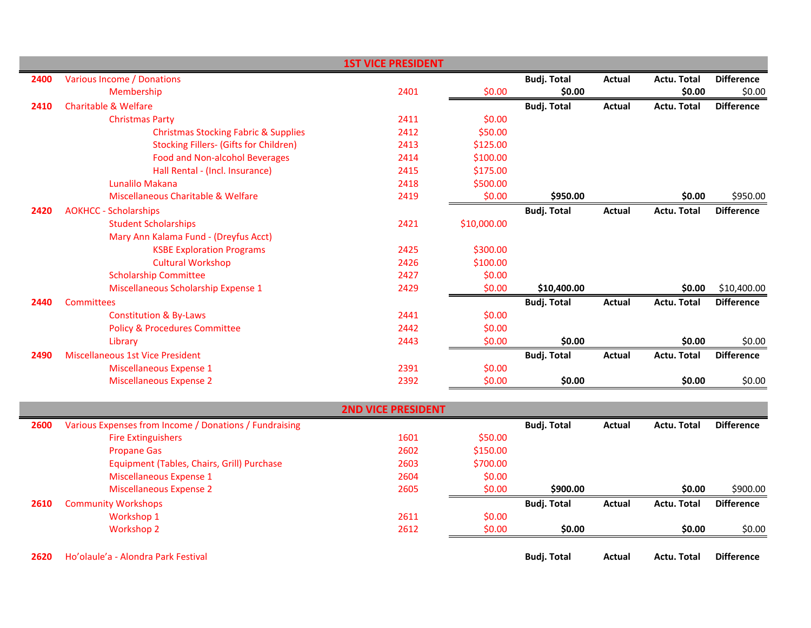|      |                                                 | <b>1ST VICE PRESIDENT</b> |             |                    |               |                    |                   |
|------|-------------------------------------------------|---------------------------|-------------|--------------------|---------------|--------------------|-------------------|
| 2400 | Various Income / Donations                      |                           |             | <b>Budj. Total</b> | Actual        | <b>Actu. Total</b> | <b>Difference</b> |
|      | Membership                                      | 2401                      | \$0.00      | \$0.00             |               | \$0.00             | \$0.00            |
| 2410 | <b>Charitable &amp; Welfare</b>                 |                           |             | <b>Budj. Total</b> | <b>Actual</b> | <b>Actu. Total</b> | <b>Difference</b> |
|      | <b>Christmas Party</b>                          | 2411                      | \$0.00      |                    |               |                    |                   |
|      | <b>Christmas Stocking Fabric &amp; Supplies</b> | 2412                      | \$50.00     |                    |               |                    |                   |
|      | <b>Stocking Fillers- (Gifts for Children)</b>   | 2413                      | \$125.00    |                    |               |                    |                   |
|      | Food and Non-alcohol Beverages                  | 2414                      | \$100.00    |                    |               |                    |                   |
|      | Hall Rental - (Incl. Insurance)                 | 2415                      | \$175.00    |                    |               |                    |                   |
|      | Lunalilo Makana                                 | 2418                      | \$500.00    |                    |               |                    |                   |
|      | Miscellaneous Charitable & Welfare              | 2419                      | \$0.00      | \$950.00           |               | \$0.00             | \$950.00          |
| 2420 | <b>AOKHCC - Scholarships</b>                    |                           |             | <b>Budj. Total</b> | Actual        | <b>Actu. Total</b> | <b>Difference</b> |
|      | <b>Student Scholarships</b>                     | 2421                      | \$10,000.00 |                    |               |                    |                   |
|      | Mary Ann Kalama Fund - (Dreyfus Acct)           |                           |             |                    |               |                    |                   |
|      | <b>KSBE Exploration Programs</b>                | 2425                      | \$300.00    |                    |               |                    |                   |
|      | <b>Cultural Workshop</b>                        | 2426                      | \$100.00    |                    |               |                    |                   |
|      | <b>Scholarship Committee</b>                    | 2427                      | \$0.00      |                    |               |                    |                   |
|      | Miscellaneous Scholarship Expense 1             | 2429                      | \$0.00      | \$10,400.00        |               | \$0.00             | \$10,400.00       |
| 2440 | <b>Committees</b>                               |                           |             | <b>Budj. Total</b> | Actual        | <b>Actu. Total</b> | <b>Difference</b> |
|      | <b>Constitution &amp; By-Laws</b>               | 2441                      | \$0.00      |                    |               |                    |                   |
|      | <b>Policy &amp; Procedures Committee</b>        | 2442                      | \$0.00      |                    |               |                    |                   |
|      | Library                                         | 2443                      | \$0.00      | \$0.00             |               | \$0.00             | \$0.00            |
| 2490 | Miscellaneous 1st Vice President                |                           |             | <b>Budj. Total</b> | <b>Actual</b> | <b>Actu. Total</b> | <b>Difference</b> |
|      | Miscellaneous Expense 1                         | 2391                      | \$0.00      |                    |               |                    |                   |
|      | <b>Miscellaneous Expense 2</b>                  | 2392                      | \$0.00      | \$0.00             |               | \$0.00             | \$0.00            |

|      |                                                        | <b>2ND VICE PRESIDENT</b> |          |                    |        |                    |                   |
|------|--------------------------------------------------------|---------------------------|----------|--------------------|--------|--------------------|-------------------|
| 2600 | Various Expenses from Income / Donations / Fundraising |                           |          | <b>Budj. Total</b> | Actual | <b>Actu. Total</b> | <b>Difference</b> |
|      | <b>Fire Extinguishers</b>                              | 1601                      | \$50.00  |                    |        |                    |                   |
|      | <b>Propane Gas</b>                                     | 2602                      | \$150.00 |                    |        |                    |                   |
|      | Equipment (Tables, Chairs, Grill) Purchase             | 2603                      | \$700.00 |                    |        |                    |                   |
|      | Miscellaneous Expense 1                                | 2604                      | \$0.00   |                    |        |                    |                   |
|      | Miscellaneous Expense 2                                | 2605                      | \$0.00   | \$900.00           |        | \$0.00             | \$900.00          |
| 2610 | <b>Community Workshops</b>                             |                           |          | <b>Budi. Total</b> | Actual | <b>Actu. Total</b> | <b>Difference</b> |
|      | Workshop 1                                             | 2611                      | \$0.00   |                    |        |                    |                   |
|      | Workshop 2                                             | 2612                      | \$0.00   | \$0.00             |        | \$0.00             | \$0.00            |
| 2620 | Ho'olaule'a - Alondra Park Festival                    |                           |          | <b>Budi. Total</b> | Actual | <b>Actu. Total</b> | <b>Difference</b> |

L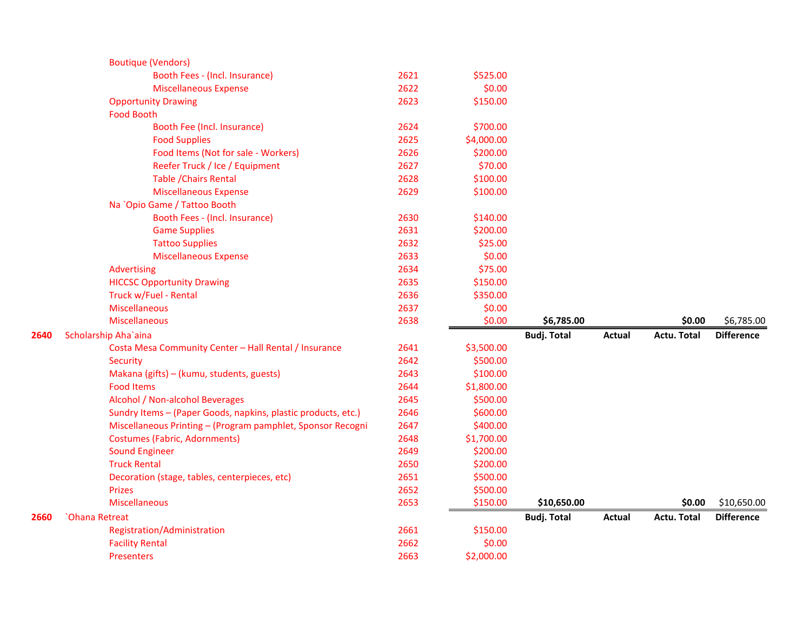|      | <b>Boutique (Vendors)</b>                                     |      |            |                    |               |                    |                   |
|------|---------------------------------------------------------------|------|------------|--------------------|---------------|--------------------|-------------------|
|      | Booth Fees - (Incl. Insurance)                                | 2621 | \$525.00   |                    |               |                    |                   |
|      | <b>Miscellaneous Expense</b>                                  | 2622 | \$0.00     |                    |               |                    |                   |
|      | <b>Opportunity Drawing</b>                                    | 2623 | \$150.00   |                    |               |                    |                   |
|      | <b>Food Booth</b>                                             |      |            |                    |               |                    |                   |
|      | Booth Fee (Incl. Insurance)                                   | 2624 | \$700.00   |                    |               |                    |                   |
|      | <b>Food Supplies</b>                                          | 2625 | \$4,000.00 |                    |               |                    |                   |
|      | Food Items (Not for sale - Workers)                           | 2626 | \$200.00   |                    |               |                    |                   |
|      | Reefer Truck / Ice / Equipment                                | 2627 | \$70.00    |                    |               |                    |                   |
|      | <b>Table / Chairs Rental</b>                                  | 2628 | \$100.00   |                    |               |                    |                   |
|      | <b>Miscellaneous Expense</b>                                  | 2629 | \$100.00   |                    |               |                    |                   |
|      | Na `Opio Game / Tattoo Booth                                  |      |            |                    |               |                    |                   |
|      | Booth Fees - (Incl. Insurance)                                | 2630 | \$140.00   |                    |               |                    |                   |
|      | <b>Game Supplies</b>                                          | 2631 | \$200.00   |                    |               |                    |                   |
|      | <b>Tattoo Supplies</b>                                        | 2632 | \$25.00    |                    |               |                    |                   |
|      | <b>Miscellaneous Expense</b>                                  | 2633 | \$0.00     |                    |               |                    |                   |
|      | Advertising                                                   | 2634 | \$75.00    |                    |               |                    |                   |
|      | <b>HICCSC Opportunity Drawing</b>                             | 2635 | \$150.00   |                    |               |                    |                   |
|      | Truck w/Fuel - Rental                                         | 2636 | \$350.00   |                    |               |                    |                   |
|      | <b>Miscellaneous</b>                                          | 2637 | \$0.00     |                    |               |                    |                   |
|      | <b>Miscellaneous</b>                                          | 2638 | \$0.00     | \$6,785.00         |               | \$0.00             | \$6,785.00        |
| 2640 | Scholarship Aha'aina                                          |      |            | <b>Budj. Total</b> | <b>Actual</b> | <b>Actu. Total</b> | <b>Difference</b> |
|      | Costa Mesa Community Center - Hall Rental / Insurance         | 2641 | \$3,500.00 |                    |               |                    |                   |
|      | Security                                                      | 2642 | \$500.00   |                    |               |                    |                   |
|      | Makana (gifts) - (kumu, students, guests)                     | 2643 | \$100.00   |                    |               |                    |                   |
|      | <b>Food Items</b>                                             | 2644 | \$1,800.00 |                    |               |                    |                   |
|      | Alcohol / Non-alcohol Beverages                               | 2645 | \$500.00   |                    |               |                    |                   |
|      | Sundry Items - (Paper Goods, napkins, plastic products, etc.) | 2646 | \$600.00   |                    |               |                    |                   |
|      | Miscellaneous Printing - (Program pamphlet, Sponsor Recogni   | 2647 | \$400.00   |                    |               |                    |                   |
|      | <b>Costumes (Fabric, Adornments)</b>                          | 2648 | \$1,700.00 |                    |               |                    |                   |
|      | <b>Sound Engineer</b>                                         | 2649 | \$200.00   |                    |               |                    |                   |
|      | <b>Truck Rental</b>                                           | 2650 | \$200.00   |                    |               |                    |                   |
|      | Decoration (stage, tables, centerpieces, etc)                 | 2651 | \$500.00   |                    |               |                    |                   |
|      | <b>Prizes</b>                                                 | 2652 | \$500.00   |                    |               |                    |                   |
|      | <b>Miscellaneous</b>                                          | 2653 | \$150.00   | \$10,650.00        |               | \$0.00             | \$10,650.00       |
| 2660 | <b>Ohana Retreat</b>                                          |      |            | <b>Budj. Total</b> | Actual        | <b>Actu. Total</b> | <b>Difference</b> |
|      | Registration/Administration                                   | 2661 | \$150.00   |                    |               |                    |                   |
|      | <b>Facility Rental</b>                                        | 2662 | \$0.00     |                    |               |                    |                   |
|      | <b>Presenters</b>                                             | 2663 | \$2,000.00 |                    |               |                    |                   |
|      |                                                               |      |            |                    |               |                    |                   |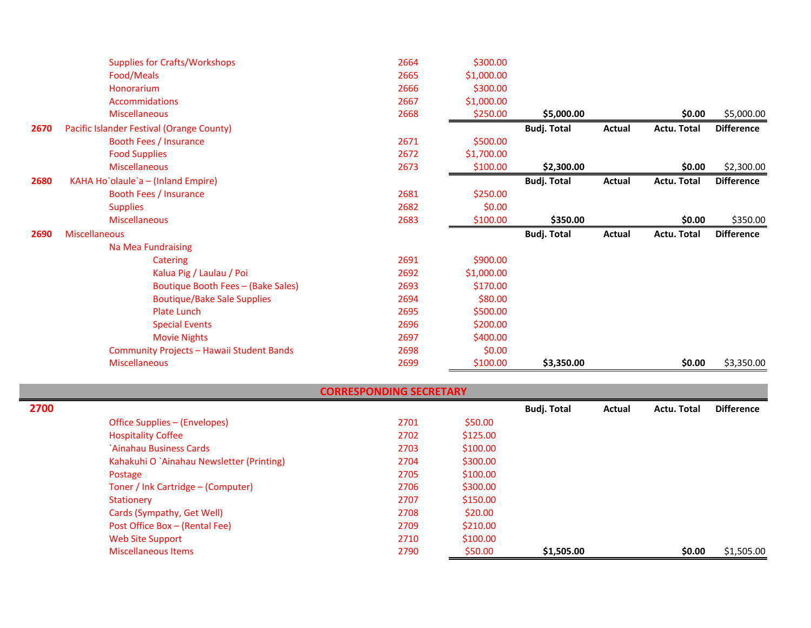| <b>Supplies for Crafts/Workshops</b>      | 2664 | \$300.00   |                    |        |                    |                   |
|-------------------------------------------|------|------------|--------------------|--------|--------------------|-------------------|
| Food/Meals                                | 2665 | \$1,000.00 |                    |        |                    |                   |
| Honorarium                                | 2666 | \$300.00   |                    |        |                    |                   |
| <b>Accommidations</b>                     | 2667 | \$1,000.00 |                    |        |                    |                   |
| <b>Miscellaneous</b>                      | 2668 | \$250.00   | \$5,000.00         |        | \$0.00             | \$5,000.00        |
| Pacific Islander Festival (Orange County) |      |            | <b>Budj. Total</b> | Actual | <b>Actu. Total</b> | <b>Difference</b> |
| Booth Fees / Insurance                    | 2671 | \$500.00   |                    |        |                    |                   |
| <b>Food Supplies</b>                      | 2672 | \$1,700.00 |                    |        |                    |                   |
| <b>Miscellaneous</b>                      | 2673 | \$100.00   | \$2,300.00         |        | \$0.00             | \$2,300.00        |
| KAHA Ho`olaule`a - (Inland Empire)        |      |            | <b>Budj. Total</b> | Actual | Actu. Total        | <b>Difference</b> |
| Booth Fees / Insurance                    | 2681 | \$250.00   |                    |        |                    |                   |
| <b>Supplies</b>                           | 2682 | \$0.00     |                    |        |                    |                   |
| <b>Miscellaneous</b>                      | 2683 | \$100.00   | \$350.00           |        | \$0.00             | \$350.00          |
| Miscellaneous                             |      |            | <b>Budj. Total</b> | Actual | Actu. Total        | <b>Difference</b> |
| Na Mea Fundraising                        |      |            |                    |        |                    |                   |
| <b>Catering</b>                           | 2691 | \$900.00   |                    |        |                    |                   |
|                                           |      |            |                    |        |                    |                   |
| Kalua Pig / Laulau / Poi                  | 2692 | \$1,000.00 |                    |        |                    |                   |
| Boutique Booth Fees - (Bake Sales)        | 2693 | \$170.00   |                    |        |                    |                   |
| <b>Boutique/Bake Sale Supplies</b>        | 2694 | \$80.00    |                    |        |                    |                   |
| <b>Plate Lunch</b>                        | 2695 | \$500.00   |                    |        |                    |                   |
| <b>Special Events</b>                     | 2696 | \$200.00   |                    |        |                    |                   |
| <b>Movie Nights</b>                       | 2697 | \$400.00   |                    |        |                    |                   |
| Community Projects - Hawaii Student Bands | 2698 | \$0.00     |                    |        |                    |                   |
|                                           |      |            |                    |        |                    |                   |

| <b>CORRESPONDING SECRETARY</b> |  |  |
|--------------------------------|--|--|
|                                |  |  |

| 2700 |                                           |      |          | <b>Budj. Total</b> | Actual | <b>Actu. Total</b> | <b>Difference</b> |
|------|-------------------------------------------|------|----------|--------------------|--------|--------------------|-------------------|
|      | Office Supplies – (Envelopes)             | 2701 | \$50.00  |                    |        |                    |                   |
|      | <b>Hospitality Coffee</b>                 | 2702 | \$125.00 |                    |        |                    |                   |
|      | `Ainahau Business Cards                   | 2703 | \$100.00 |                    |        |                    |                   |
|      | Kahakuhi O `Ainahau Newsletter (Printing) | 2704 | \$300.00 |                    |        |                    |                   |
|      | Postage                                   | 2705 | \$100.00 |                    |        |                    |                   |
|      | Toner / Ink Cartridge – (Computer)        | 2706 | \$300.00 |                    |        |                    |                   |
|      | Stationery                                | 2707 | \$150.00 |                    |        |                    |                   |
|      | Cards (Sympathy, Get Well)                | 2708 | \$20.00  |                    |        |                    |                   |
|      | Post Office Box - (Rental Fee)            | 2709 | \$210.00 |                    |        |                    |                   |
|      | Web Site Support                          | 2710 | \$100.00 |                    |        |                    |                   |
|      | <b>Miscellaneous Items</b>                | 2790 | \$50.00  | \$1,505.00         |        | \$0.00             | \$1,505.00        |